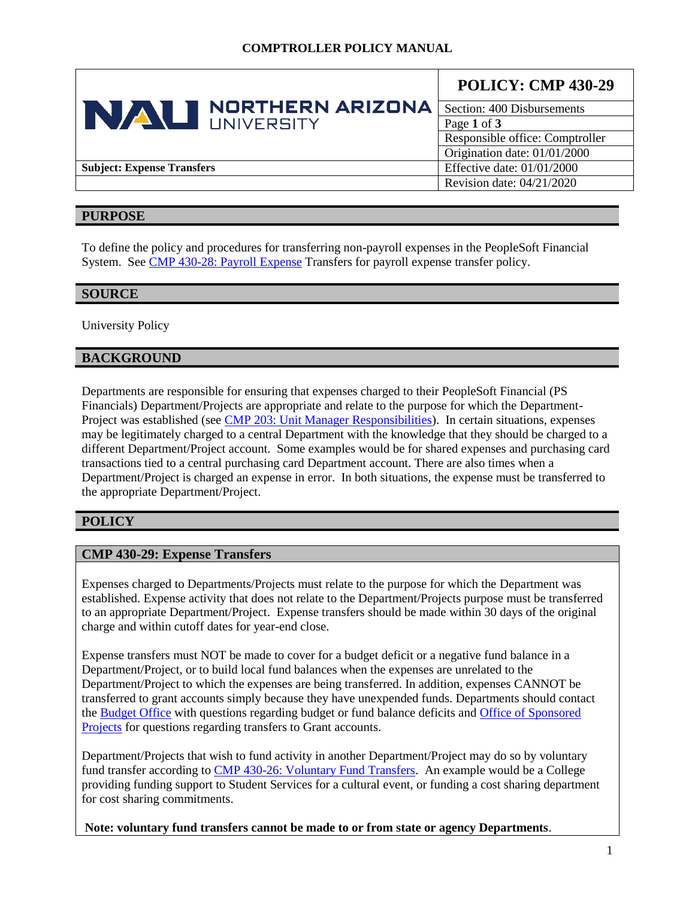|                                   | <b>POLICY: CMP 430-29</b>       |
|-----------------------------------|---------------------------------|
| <b>NORTHERN ARIZONA</b><br>NAU    | Section: 400 Disbursements      |
| UNIVERSITY                        | Page 1 of 3                     |
|                                   | Responsible office: Comptroller |
|                                   | Origination date: 01/01/2000    |
| <b>Subject: Expense Transfers</b> | Effective date: $01/01/2000$    |
|                                   | Revision date: 04/21/2020       |

### **PURPOSE**

To define the policy and procedures for transferring non-payroll expenses in the PeopleSoft Financial System. See [CMP 430-28: Payroll Expense](https://nau.edu/university-policy-library/wp-content/uploads/sites/26/Comptroller-430_28.pdf) Transfers for payroll expense transfer policy.

### **SOURCE**

University Policy

### **BACKGROUND**

Departments are responsible for ensuring that expenses charged to their PeopleSoft Financial (PS Financials) Department/Projects are appropriate and relate to the purpose for which the Department-Project was established (see [CMP 203: Unit Manager Responsibilities\)](https://nau.edu/university-policy-library/wp-content/uploads/sites/26/Comptroller-203.pdf). In certain situations, expenses may be legitimately charged to a central Department with the knowledge that they should be charged to a different Department/Project account. Some examples would be for shared expenses and purchasing card transactions tied to a central purchasing card Department account. There are also times when a Department/Project is charged an expense in error. In both situations, the expense must be transferred to the appropriate Department/Project.

# **POLICY**

### **CMP 430-29: Expense Transfers**

Expenses charged to Departments/Projects must relate to the purpose for which the Department was established. Expense activity that does not relate to the Department/Projects purpose must be transferred to an appropriate Department/Project. Expense transfers should be made within 30 days of the original charge and within cutoff dates for year-end close.

Expense transfers must NOT be made to cover for a budget deficit or a negative fund balance in a Department/Project, or to build local fund balances when the expenses are unrelated to the Department/Project to which the expenses are being transferred. In addition, expenses CANNOT be transferred to grant accounts simply because they have unexpended funds. Departments should contact the [Budget Office](http://nau.edu/budget/) with questions regarding budget or fund balance deficits an[d Office of Sponsored](http://nau.edu/Research/Sponsored-Projects/)  [Projects](http://nau.edu/Research/Sponsored-Projects/) for questions regarding transfers to Grant accounts.

Department/Projects that wish to fund activity in another Department/Project may do so by voluntary fund transfer according to [CMP 430-26: Voluntary Fund Transfers.](https://nau.edu/university-policy-library/wp-content/uploads/sites/26/Comptroller-430_26.pdf) An example would be a College providing funding support to Student Services for a cultural event, or funding a cost sharing department for cost sharing commitments.

**Note: voluntary fund transfers cannot be made to or from state or agency Departments**.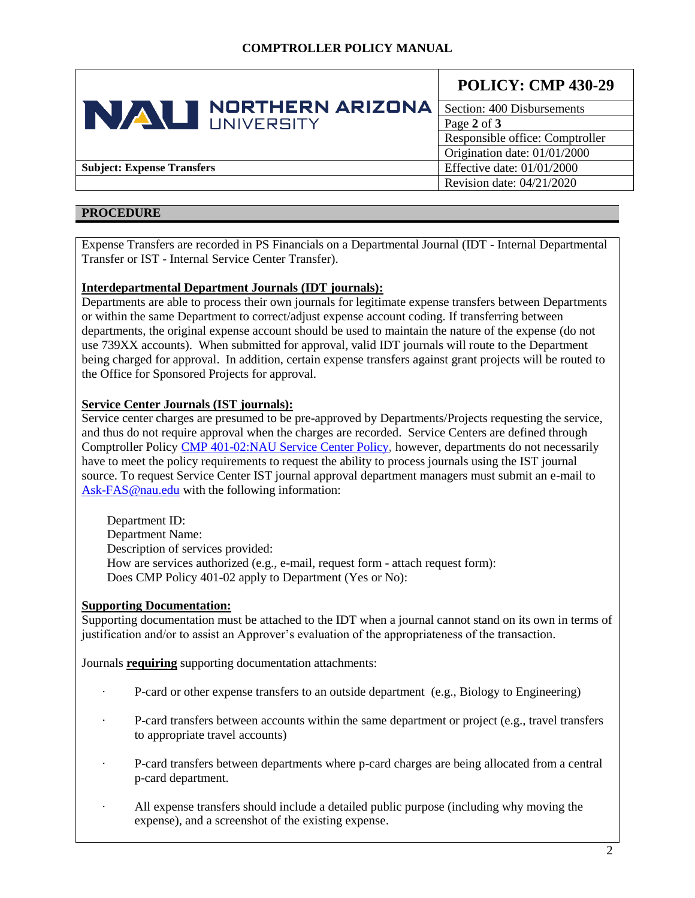| <b>NORTHERN ARIZONA</b><br>NAU<br>I INIVERSITY | <b>POLICY: CMP 430-29</b> |                                 |
|------------------------------------------------|---------------------------|---------------------------------|
|                                                |                           | Section: 400 Disbursements      |
|                                                |                           | Page 2 of 3                     |
|                                                |                           | Responsible office: Comptroller |
|                                                |                           | Origination date: 01/01/2000    |
| <b>Subject: Expense Transfers</b>              |                           | Effective date: $01/01/2000$    |
|                                                |                           | Revision date: $04/21/2020$     |

### **PROCEDURE**

Expense Transfers are recorded in PS Financials on a Departmental Journal (IDT - Internal Departmental Transfer or IST - Internal Service Center Transfer).

### **Interdepartmental Department Journals (IDT journals):**

Departments are able to process their own journals for legitimate expense transfers between Departments or within the same Department to correct/adjust expense account coding. If transferring between departments, the original expense account should be used to maintain the nature of the expense (do not use 739XX accounts). When submitted for approval, valid IDT journals will route to the Department being charged for approval. In addition, certain expense transfers against grant projects will be routed to the Office for Sponsored Projects for approval.

### **Service Center Journals (IST journals):**

Service center charges are presumed to be pre-approved by Departments/Projects requesting the service, and thus do not require approval when the charges are recorded. Service Centers are defined through Comptroller Policy CMP [401-02:NAU Service Center Policy,](https://nau.edu/university-policy-library/wp-content/uploads/sites/26/Comptroller-401_02.pdf) however, departments do not necessarily have to meet the policy requirements to request the ability to process journals using the IST journal source. To request Service Center IST journal approval department managers must submit an e-mail to [Ask-FAS@nau.edu](mailto:Ask-FAS@nau.edu) with the following information:

Department ID: Department Name: Description of services provided: How are services authorized (e.g., e-mail, request form - attach request form): Does CMP Policy 401-02 apply to Department (Yes or No):

## **Supporting Documentation:**

Supporting documentation must be attached to the IDT when a journal cannot stand on its own in terms of justification and/or to assist an Approver's evaluation of the appropriateness of the transaction.

Journals **requiring** supporting documentation attachments:

- · P-card or other expense transfers to an outside department (e.g., Biology to Engineering)
- · P-card transfers between accounts within the same department or project (e.g., travel transfers to appropriate travel accounts)
- · P-card transfers between departments where p-card charges are being allocated from a central p-card department.
- · All expense transfers should include a detailed public purpose (including why moving the expense), and a screenshot of the existing expense.